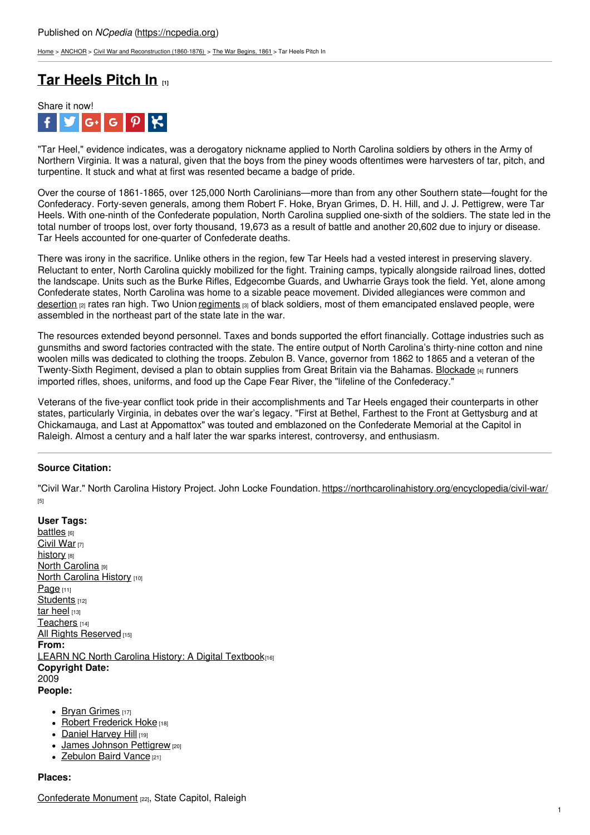[Home](https://ncpedia.org/) > [ANCHOR](https://ncpedia.org/anchor/anchor) > Civil War and [Reconstruction](https://ncpedia.org/anchor/civil-war-and-reconstruction) (1860-1876) > The War [Begins,](https://ncpedia.org/anchor/war-begins-1861) 1861 > Tar Heels Pitch In

# **Tar [Heels](https://ncpedia.org/anchor/tar-heels-pitch) Pitch In [1]**



"Tar Heel," evidence indicates, was a derogatory nickname applied to North Carolina soldiers by others in the Army of Northern Virginia. It was a natural, given that the boys from the piney woods oftentimes were harvesters of tar, pitch, and turpentine. It stuck and what at first was resented became a badge of pride.

Over the course of 1861-1865, over 125,000 North Carolinians—more than from any other Southern state—fought for the Confederacy. Forty-seven generals, among them Robert F. Hoke, Bryan Grimes, D. H. Hill, and J. J. Pettigrew, were Tar Heels. With one-ninth of the Confederate population, North Carolina supplied one-sixth of the soldiers. The state led in the total number of troops lost, over forty thousand, 19,673 as a result of battle and another 20,602 due to injury or disease. Tar Heels accounted for one-quarter of Confederate deaths.

There was irony in the sacrifice. Unlike others in the region, few Tar Heels had a vested interest in preserving slavery. Reluctant to enter, North Carolina quickly [mobilized](http://www.social9.com) for the fight. Training camps, typically alongside railroad lines, dotted the landscape. Units such as the Burke Rifles, Edgecombe Guards, and Uwharrie Grays took the field. Yet, alone among Confederate states, North Carolina was home to a sizable peace movement. Divided allegiances were common and [desertion](https://ncpedia.org/glossary/desertion) [2] rates ran high. Two Union [regiments](https://ncpedia.org/glossary/regiment) [3] of black soldiers, most of them emancipated enslaved people, were assembled in the northeast part of the state late in the war.

The resources extended beyond personnel. Taxes and bonds supported the effort financially. Cottage industries such as gunsmiths and sword factories contracted with the state. The entire output of North Carolina's thirty-nine cotton and nine woolen mills was dedicated to clothing the troops. Zebulon B. Vance, governor from 1862 to 1865 and a veteran of the Twenty-Sixth Regiment, devised a plan to obtain supplies from Great Britain via the Bahamas. [Blockade](https://ncpedia.org/glossary/blockade) [4] runners imported rifles, shoes, uniforms, and food up the Cape Fear River, the "lifeline of the Confederacy."

Veterans of the five-year conflict took pride in their accomplishments and Tar Heels engaged their counterparts in other states, particularly Virginia, in debates over the war's legacy. "First at Bethel, Farthest to the Front at Gettysburg and at Chickamauga, and Last at Appomattox" was touted and emblazoned on the Confederate Memorial at the Capitol in Raleigh. Almost a century and a half later the war sparks interest, controversy, and enthusiasm.

## **Source Citation:**

"Civil War." North Carolina History Project. John Locke Foundation. <https://northcarolinahistory.org/encyclopedia/civil-war/> [5]

- **User Tags:** [battles](https://ncpedia.org/category/user-tags/battles) [6] [Civil](https://ncpedia.org/category/user-tags/civil-war) War [7] [history](https://ncpedia.org/category/user-tags/history) [8] **North [Carolina](https://ncpedia.org/category/user-tags/north-carolina-5)** [9] **North [Carolina](https://ncpedia.org/category/user-tags/north-carolina-6) History [10]** [Page](https://ncpedia.org/category/user-tags/page) [11] [Students](https://ncpedia.org/category/user-tags/students) [12] tar [heel](https://ncpedia.org/category/user-tags/tar-heel) [13] [Teachers](https://ncpedia.org/category/user-tags/teachers) [14] All Rights [Reserved](https://ncpedia.org/category/user-tags/all-rights) [15] **From:** LEARN NC North Carolina History: A Digital [Textbook](https://ncpedia.org/category/entry-source/learn-nc)[16] **Copyright Date:** 2009 **People:**
	- $\bullet$  Bryan [Grimes](https://ncpedia.org/biography/grimes-bryan)  $[17]$
	- Robert [Frederick](https://ncpedia.org/biography/hoke-robert-frederick) Hoke [18]
	- Daniel [Harvey](https://www.ncpedia.org/biography/hill-dh-oah) Hill [19]
	- James Johnson [Pettigrew](https://ncpedia.org/biography/pettigrew-james-johnston) [20]
	- [Zebulon](https://ncpedia.org/biography/vance-zebulon-baird) Baird Vance [21]

## **Places:**